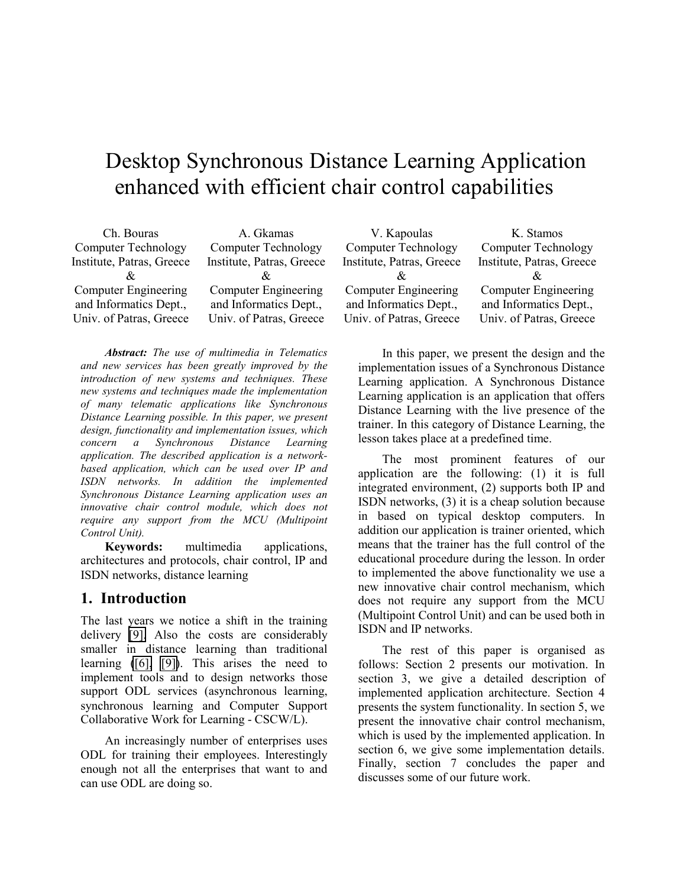# Desktop Synchronous Distance Learning Application enhanced with efficient chair control capabilities

| Ch. Bouras                  | A. Gkamas                   |
|-----------------------------|-----------------------------|
| <b>Computer Technology</b>  | <b>Computer Technology</b>  |
| Institute, Patras, Greece   | Institute, Patras, Greece   |
|                             |                             |
| <b>Computer Engineering</b> | <b>Computer Engineering</b> |
| and Informatics Dept.,      | and Informatics Dept.,      |
| Univ. of Patras, Greece     | Univ. of Patras, Greece     |

*Abstract: The use of multimedia in Telematics and new services has been greatly improved by the introduction of new systems and techniques. These new systems and techniques made the implementation of many telematic applications like Synchronous Distance Learning possible. In this paper, we present design, functionality and implementation issues, which concern a Synchronous Distance Learning application. The described application is a networkbased application, which can be used over IP and ISDN networks. In addition the implemented Synchronous Distance Learning application uses an innovative chair control module, which does not require any support from the MCU (Multipoint Control Unit).* 

**Keywords:** multimedia applications, architectures and protocols, chair control, IP and ISDN networks, distance learning

### **1. Introduction**

The last years we notice a shift in the training delivery [\[9\].](#page-6-0) Also the costs are considerably smaller in distance learning than traditional learning [\(\[6\],](#page-6-0) [\[9\]\)](#page-6-0). This arises the need to implement tools and to design networks those support ODL services (asynchronous learning, synchronous learning and Computer Support Collaborative Work for Learning - CSCW/L).

An increasingly number of enterprises uses ODL for training their employees. Interestingly enough not all the enterprises that want to and can use ODL are doing so.

V. Kapoulas Computer Technology Institute, Patras, Greece  $\mathcal{R}$ Computer Engineering and Informatics Dept., Univ. of Patras, Greece

K. Stamos Computer Technology Institute, Patras, Greece  $\mathcal{R}_{r}$ Computer Engineering and Informatics Dept., Univ. of Patras, Greece

In this paper, we present the design and the implementation issues of a Synchronous Distance Learning application. A Synchronous Distance Learning application is an application that offers Distance Learning with the live presence of the trainer. In this category of Distance Learning, the lesson takes place at a predefined time.

The most prominent features of our application are the following: (1) it is full integrated environment, (2) supports both IP and ISDN networks, (3) it is a cheap solution because in based on typical desktop computers. In addition our application is trainer oriented, which means that the trainer has the full control of the educational procedure during the lesson. In order to implemented the above functionality we use a new innovative chair control mechanism, which does not require any support from the MCU (Multipoint Control Unit) and can be used both in ISDN and IP networks.

The rest of this paper is organised as follows: Section 2 presents our motivation. In section 3, we give a detailed description of implemented application architecture. Section 4 presents the system functionality. In section 5, we present the innovative chair control mechanism, which is used by the implemented application. In section 6, we give some implementation details. Finally, section 7 concludes the paper and discusses some of our future work.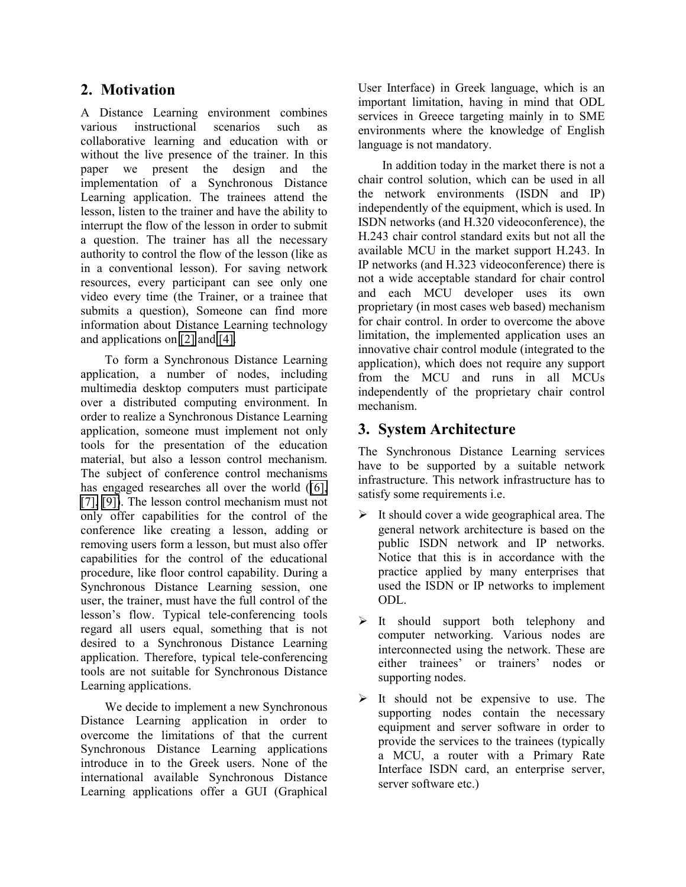## **2. Motivation**

A Distance Learning environment combines various instructional scenarios such as collaborative learning and education with or without the live presence of the trainer. In this paper we present the design and the implementation of a Synchronous Distance Learning application. The trainees attend the lesson, listen to the trainer and have the ability to interrupt the flow of the lesson in order to submit a question. The trainer has all the necessary authority to control the flow of the lesson (like as in a conventional lesson). For saving network resources, every participant can see only one video every time (the Trainer, or a trainee that submits a question), Someone can find more information about Distance Learning technology and applications on [\[2\]](#page-6-0) and [\[4\].](#page-6-0)

To form a Synchronous Distance Learning application, a number of nodes, including multimedia desktop computers must participate over a distributed computing environment. In order to realize a Synchronous Distance Learning application, someone must implement not only tools for the presentation of the education material, but also a lesson control mechanism. The subject of conference control mechanisms has engaged researches all over the world ([\[6\],](#page-6-0) [\[7\],](#page-6-0) [\[9\]\)](#page-6-0). The lesson control mechanism must not only offer capabilities for the control of the conference like creating a lesson, adding or removing users form a lesson, but must also offer capabilities for the control of the educational procedure, like floor control capability. During a Synchronous Distance Learning session, one user, the trainer, must have the full control of the lesson's flow. Typical tele-conferencing tools regard all users equal, something that is not desired to a Synchronous Distance Learning application. Therefore, typical tele-conferencing tools are not suitable for Synchronous Distance Learning applications.

We decide to implement a new Synchronous Distance Learning application in order to overcome the limitations of that the current Synchronous Distance Learning applications introduce in to the Greek users. None of the international available Synchronous Distance Learning applications offer a GUI (Graphical

User Interface) in Greek language, which is an important limitation, having in mind that ODL services in Greece targeting mainly in to SME environments where the knowledge of English language is not mandatory.

In addition today in the market there is not a chair control solution, which can be used in all the network environments (ISDN and IP) independently of the equipment, which is used. In ISDN networks (and H.320 videoconference), the H.243 chair control standard exits but not all the available MCU in the market support H.243. In IP networks (and H.323 videoconference) there is not a wide acceptable standard for chair control and each MCU developer uses its own proprietary (in most cases web based) mechanism for chair control. In order to overcome the above limitation, the implemented application uses an innovative chair control module (integrated to the application), which does not require any support from the MCU and runs in all MCUs independently of the proprietary chair control mechanism.

## **3. System Architecture**

The Synchronous Distance Learning services have to be supported by a suitable network infrastructure. This network infrastructure has to satisfy some requirements i.e.

- $\triangleright$  It should cover a wide geographical area. The general network architecture is based on the public ISDN network and IP networks. Notice that this is in accordance with the practice applied by many enterprises that used the ISDN or IP networks to implement ODL.
- $\triangleright$  It should support both telephony and computer networking. Various nodes are interconnected using the network. These are either trainees' or trainers' nodes or supporting nodes.
- $\triangleright$  It should not be expensive to use. The supporting nodes contain the necessary equipment and server software in order to provide the services to the trainees (typically a MCU, a router with a Primary Rate Interface ISDN card, an enterprise server, server software etc.)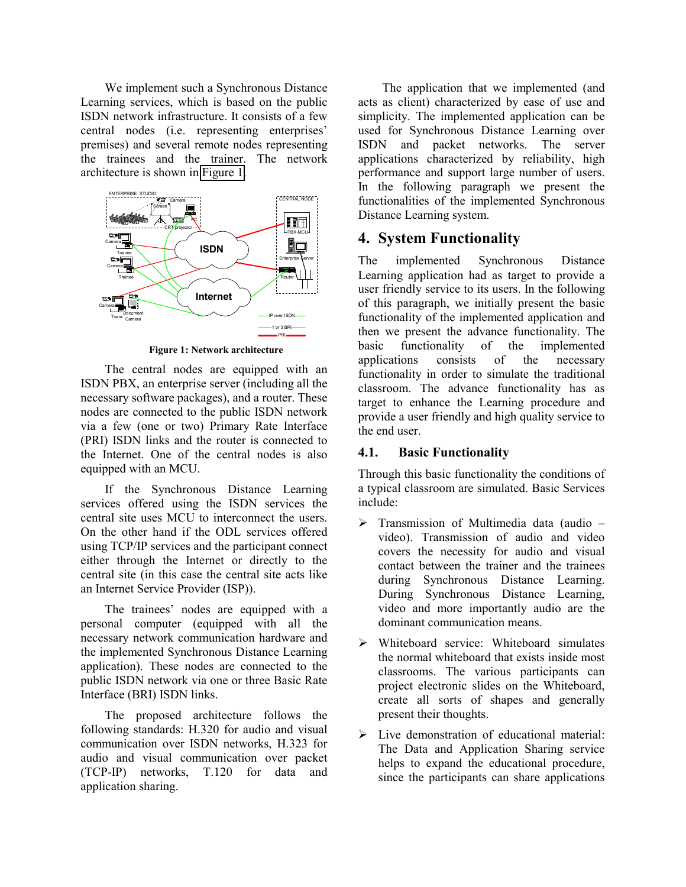We implement such a Synchronous Distance Learning services, which is based on the public ISDN network infrastructure. It consists of a few central nodes (i.e. representing enterprises' premises) and several remote nodes representing the trainees and the trainer. The network architecture is shown in Figure 1.



**Figure 1: Network architecture** 

The central nodes are equipped with an ISDN PBX, an enterprise server (including all the necessary software packages), and a router. These nodes are connected to the public ISDN network via a few (one or two) Primary Rate Interface (PRI) ISDN links and the router is connected to the Internet. One of the central nodes is also equipped with an MCU.

If the Synchronous Distance Learning services offered using the ISDN services the central site uses MCU to interconnect the users. On the other hand if the ODL services offered using TCP/IP services and the participant connect either through the Internet or directly to the central site (in this case the central site acts like an Internet Service Provider (ISP)).

The trainees' nodes are equipped with a personal computer (equipped with all the necessary network communication hardware and the implemented Synchronous Distance Learning application). These nodes are connected to the public ISDN network via one or three Basic Rate Interface (BRI) ISDN links.

The proposed architecture follows the following standards: H.320 for audio and visual communication over ISDN networks, H.323 for audio and visual communication over packet (TCP-IP) networks, T.120 for data and application sharing.

The application that we implemented (and acts as client) characterized by ease of use and simplicity. The implemented application can be used for Synchronous Distance Learning over ISDN and packet networks. The server applications characterized by reliability, high performance and support large number of users. In the following paragraph we present the functionalities of the implemented Synchronous Distance Learning system.

## **4. System Functionality**

The implemented Synchronous Distance Learning application had as target to provide a user friendly service to its users. In the following of this paragraph, we initially present the basic functionality of the implemented application and then we present the advance functionality. The basic functionality of the implemented applications consists of the necessary functionality in order to simulate the traditional classroom. The advance functionality has as target to enhance the Learning procedure and provide a user friendly and high quality service to the end user.

#### **4.1. Basic Functionality**

Through this basic functionality the conditions of a typical classroom are simulated. Basic Services include:

- $\triangleright$  Transmission of Multimedia data (audio video). Transmission of audio and video covers the necessity for audio and visual contact between the trainer and the trainees during Synchronous Distance Learning. During Synchronous Distance Learning, video and more importantly audio are the dominant communication means.
- Whiteboard service: Whiteboard simulates the normal whiteboard that exists inside most classrooms. The various participants can project electronic slides on the Whiteboard, create all sorts of shapes and generally present their thoughts.
- Eive demonstration of educational material: The Data and Application Sharing service helps to expand the educational procedure, since the participants can share applications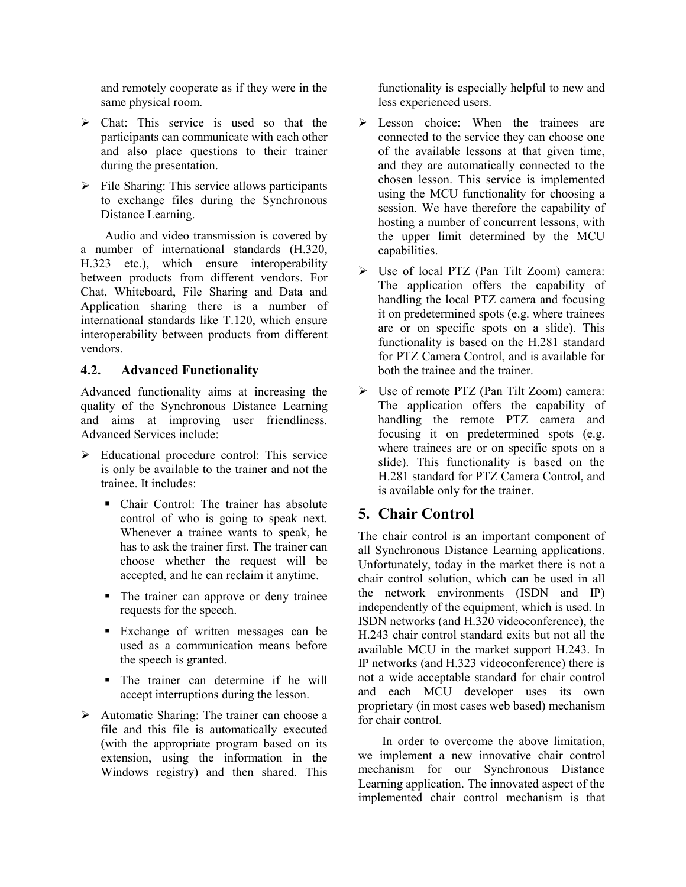and remotely cooperate as if they were in the same physical room.

- > Chat: This service is used so that the participants can communicate with each other and also place questions to their trainer during the presentation.
- $\triangleright$  File Sharing: This service allows participants to exchange files during the Synchronous Distance Learning.

Audio and video transmission is covered by a number of international standards (Η.320, Η.323 etc.), which ensure interoperability between products from different vendors. For Chat, Whiteboard, File Sharing and Data and Application sharing there is a number of international standards like T.120, which ensure interoperability between products from different vendors.

#### **4.2. Advanced Functionality**

Advanced functionality aims at increasing the quality of the Synchronous Distance Learning and aims at improving user friendliness. Advanced Services include:

- $\triangleright$  Educational procedure control: This service is only be available to the trainer and not the trainee. It includes:
	- Chair Control: The trainer has absolute control of who is going to speak next. Whenever a trainee wants to speak, he has to ask the trainer first. The trainer can choose whether the request will be accepted, and he can reclaim it anytime.
	- The trainer can approve or deny trainee requests for the speech.
	- **Exchange of written messages can be** used as a communication means before the speech is granted.
	- The trainer can determine if he will accept interruptions during the lesson.
- $\triangleright$  Automatic Sharing: The trainer can choose a file and this file is automatically executed (with the appropriate program based on its extension, using the information in the Windows registry) and then shared. This

functionality is especially helpful to new and less experienced users.

- $\triangleright$  Lesson choice: When the trainees are connected to the service they can choose one of the available lessons at that given time, and they are automatically connected to the chosen lesson. This service is implemented using the MCU functionality for choosing a session. We have therefore the capability of hosting a number of concurrent lessons, with the upper limit determined by the MCU capabilities.
- Use of local PTZ (Pan Tilt Zoom) camera: The application offers the capability of handling the local PTZ camera and focusing it on predetermined spots (e.g. where trainees are or on specific spots on a slide). This functionality is based on the Η.281 standard for PTZ Camera Control, and is available for both the trainee and the trainer.
- Use of remote PTZ (Pan Tilt Zoom) camera: The application offers the capability of handling the remote PTZ camera and focusing it on predetermined spots (e.g. where trainees are or on specific spots on a slide). This functionality is based on the Η.281 standard for PTZ Camera Control, and is available only for the trainer.

## **5. Chair Control**

The chair control is an important component of all Synchronous Distance Learning applications. Unfortunately, today in the market there is not a chair control solution, which can be used in all the network environments (ISDN and IP) independently of the equipment, which is used. In ISDN networks (and H.320 videoconference), the H.243 chair control standard exits but not all the available MCU in the market support H.243. In IP networks (and H.323 videoconference) there is not a wide acceptable standard for chair control and each MCU developer uses its own proprietary (in most cases web based) mechanism for chair control.

In order to overcome the above limitation, we implement a new innovative chair control mechanism for our Synchronous Distance Learning application. The innovated aspect of the implemented chair control mechanism is that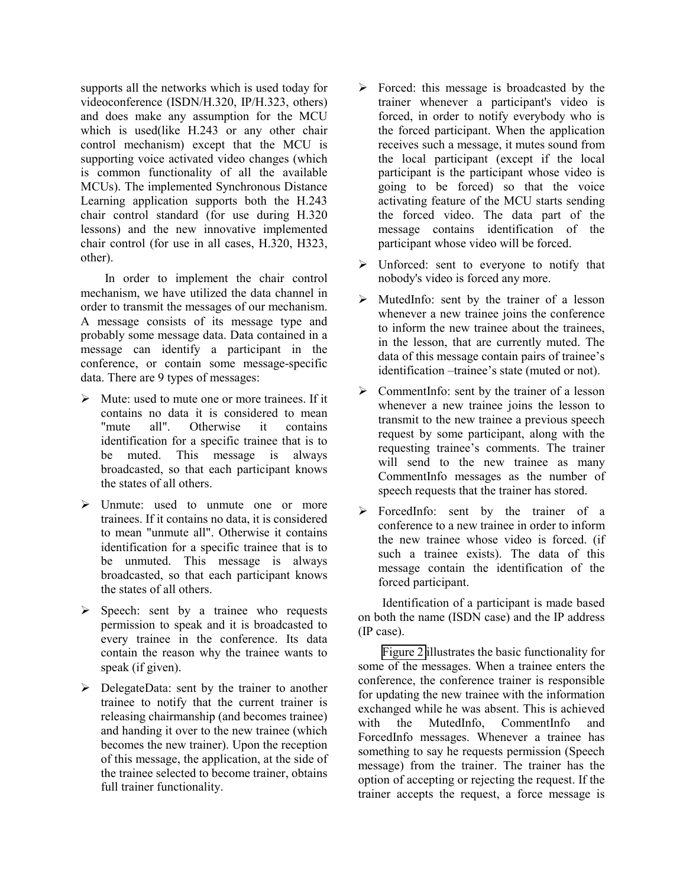supports all the networks which is used today for videoconference (ISDN/H.320, IP/H.323, others) and does make any assumption for the MCU which is used(like H.243 or any other chair control mechanism) except that the MCU is supporting voice activated video changes (which is common functionality of all the available MCUs). The implemented Synchronous Distance Learning application supports both the H.243 chair control standard (for use during H.320 lessons) and the new innovative implemented chair control (for use in all cases, H.320, H323, other).

In order to implement the chair control mechanism, we have utilized the data channel in order to transmit the messages of our mechanism. A message consists of its message type and probably some message data. Data contained in a message can identify a participant in the conference, or contain some message-specific data. There are 9 types of messages:

- $\triangleright$  Mute: used to mute one or more trainees. If it contains no data it is considered to mean<br>"mute all". Otherwise it contains "mute all". Otherwise it contains identification for a specific trainee that is to be muted. This message is always broadcasted, so that each participant knows the states of all others.
- $\triangleright$  Unmute: used to unmute one or more trainees. If it contains no data, it is considered to mean "unmute all". Otherwise it contains identification for a specific trainee that is to be unmuted. This message is always broadcasted, so that each participant knows the states of all others.
- $\triangleright$  Speech: sent by a trainee who requests permission to speak and it is broadcasted to every trainee in the conference. Its data contain the reason why the trainee wants to speak (if given).
- $\triangleright$  DelegateData: sent by the trainer to another trainee to notify that the current trainer is releasing chairmanship (and becomes trainee) and handing it over to the new trainee (which becomes the new trainer). Upon the reception of this message, the application, at the side of the trainee selected to become trainer, obtains full trainer functionality.
- $\triangleright$  Forced: this message is broadcasted by the trainer whenever a participant's video is forced, in order to notify everybody who is the forced participant. When the application receives such a message, it mutes sound from the local participant (except if the local participant is the participant whose video is going to be forced) so that the voice activating feature of the MCU starts sending the forced video. The data part of the message contains identification of the participant whose video will be forced.
- Unforced: sent to everyone to notify that nobody's video is forced any more.
- $\triangleright$  MutedInfo: sent by the trainer of a lesson whenever a new trainee joins the conference to inform the new trainee about the trainees, in the lesson, that are currently muted. The data of this message contain pairs of trainee's identification –trainee's state (muted or not).
- $\triangleright$  CommentInfo: sent by the trainer of a lesson whenever a new trainee joins the lesson to transmit to the new trainee a previous speech request by some participant, along with the requesting trainee's comments. The trainer will send to the new trainee as many CommentInfo messages as the number of speech requests that the trainer has stored.
- $\triangleright$  ForcedInfo: sent by the trainer of a conference to a new trainee in order to inform the new trainee whose video is forced. (if such a trainee exists). The data of this message contain the identification of the forced participant.

Identification of a participant is made based on both the name (ISDN case) and the IP address (IP case).

[Figure 2](#page-5-0) illustrates the basic functionality for some of the messages. When a trainee enters the conference, the conference trainer is responsible for updating the new trainee with the information exchanged while he was absent. This is achieved with the MutedInfo, CommentInfo and ForcedInfo messages. Whenever a trainee has something to say he requests permission (Speech message) from the trainer. The trainer has the option of accepting or rejecting the request. If the trainer accepts the request, a force message is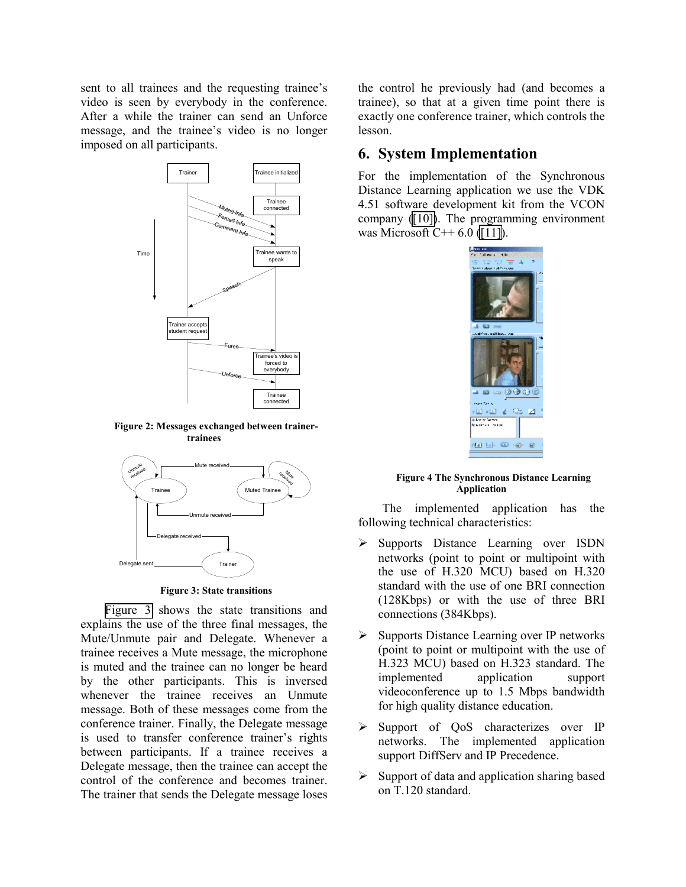<span id="page-5-0"></span>sent to all trainees and the requesting trainee's video is seen by everybody in the conference. After a while the trainer can send an Unforce message, and the trainee's video is no longer imposed on all participants.



**Figure 2: Messages exchanged between trainertrainees** 



**Figure 3: State transitions** 

Figure 3 shows the state transitions and explains the use of the three final messages, the Mute/Unmute pair and Delegate. Whenever a trainee receives a Mute message, the microphone is muted and the trainee can no longer be heard by the other participants. This is inversed whenever the trainee receives an Unmute message. Both of these messages come from the conference trainer. Finally, the Delegate message is used to transfer conference trainer's rights between participants. If a trainee receives a Delegate message, then the trainee can accept the control of the conference and becomes trainer. The trainer that sends the Delegate message loses the control he previously had (and becomes a trainee), so that at a given time point there is exactly one conference trainer, which controls the lesson.

## **6. System Implementation**

For the implementation of the Synchronous Distance Learning application we use the VDK 4.51 software development kit from the VCON company [\(\[10\]\)](#page-6-0). The programming environment was Microsoft C++  $6.0$  [\(\[11\]\)](#page-6-0).



#### **Figure 4 The Synchronous Distance Learning Application**

The implemented application has the following technical characteristics:

- Supports Distance Learning over ISDN networks (point to point or multipoint with the use of H.320 MCU) based on H.320 standard with the use of one BRI connection (128Kbps) or with the use of three BRI connections (384Kbps).
- $\triangleright$  Supports Distance Learning over IP networks (point to point or multipoint with the use of H.323 MCU) based on H.323 standard. The implemented application support videoconference up to 1.5 Mbps bandwidth for high quality distance education.
- $\triangleright$  Support of QoS characterizes over IP networks. The implemented application support DiffServ and IP Precedence.
- $\triangleright$  Support of data and application sharing based on T.120 standard.